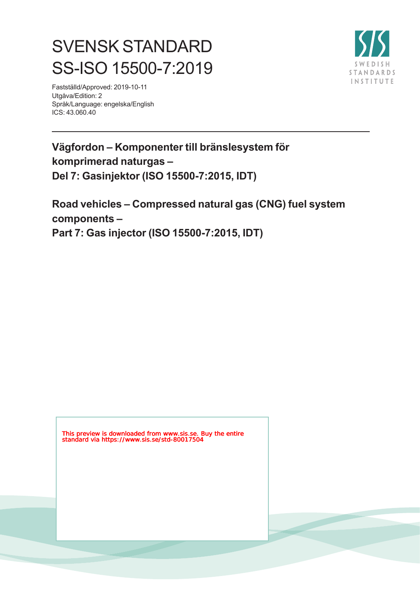# SVENSK STANDARD SS-ISO 15500-7:2019



Fastställd/Approved: 2019-10-11 Utgåva/Edition: 2 Språk/Language: engelska/English ICS: 43.060.40

**Vägfordon – Komponenter till bränslesystem för komprimerad naturgas – Del 7: Gasinjektor (ISO 15500‑7:2015, IDT)**

**Road vehicles – Compressed natural gas (CNG) fuel system components – Part 7: Gas injector (ISO 15500‑7:2015, IDT)**

This preview is downloaded from www.sis.se. Buy the entire standard via https://www.sis.se/std-80017504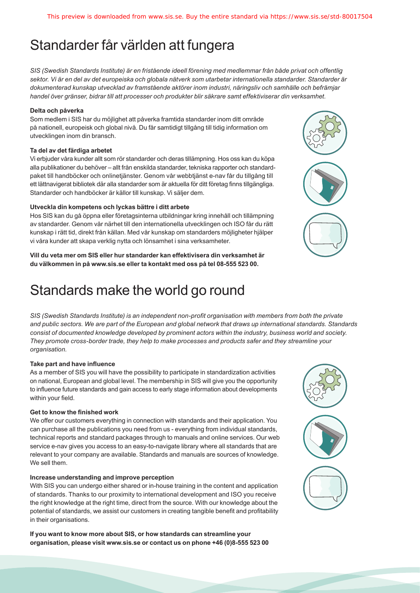## Standarder får världen att fungera

*SIS (Swedish Standards Institute) är en fristående ideell förening med medlemmar från både privat och offentlig sektor. Vi är en del av det europeiska och globala nätverk som utarbetar internationella standarder. Standarder är dokumenterad kunskap utvecklad av framstående aktörer inom industri, näringsliv och samhälle och befrämjar handel över gränser, bidrar till att processer och produkter blir säkrare samt effektiviserar din verksamhet.* 

#### **Delta och påverka**

Som medlem i SIS har du möjlighet att påverka framtida standarder inom ditt område på nationell, europeisk och global nivå. Du får samtidigt tillgång till tidig information om utvecklingen inom din bransch.

#### **Ta del av det färdiga arbetet**

Vi erbjuder våra kunder allt som rör standarder och deras tillämpning. Hos oss kan du köpa alla publikationer du behöver – allt från enskilda standarder, tekniska rapporter och standardpaket till handböcker och onlinetjänster. Genom vår webbtjänst e-nav får du tillgång till ett lättnavigerat bibliotek där alla standarder som är aktuella för ditt företag finns tillgängliga. Standarder och handböcker är källor till kunskap. Vi säljer dem.

#### **Utveckla din kompetens och lyckas bättre i ditt arbete**

Hos SIS kan du gå öppna eller företagsinterna utbildningar kring innehåll och tillämpning av standarder. Genom vår närhet till den internationella utvecklingen och ISO får du rätt kunskap i rätt tid, direkt från källan. Med vår kunskap om standarders möjligheter hjälper vi våra kunder att skapa verklig nytta och lönsamhet i sina verksamheter.

**Vill du veta mer om SIS eller hur standarder kan effektivisera din verksamhet är du välkommen in på www.sis.se eller ta kontakt med oss på tel 08-555 523 00.**

## Standards make the world go round

*SIS (Swedish Standards Institute) is an independent non-profit organisation with members from both the private and public sectors. We are part of the European and global network that draws up international standards. Standards consist of documented knowledge developed by prominent actors within the industry, business world and society. They promote cross-border trade, they help to make processes and products safer and they streamline your organisation.*

#### **Take part and have influence**

As a member of SIS you will have the possibility to participate in standardization activities on national, European and global level. The membership in SIS will give you the opportunity to influence future standards and gain access to early stage information about developments within your field.

#### **Get to know the finished work**

We offer our customers everything in connection with standards and their application. You can purchase all the publications you need from us - everything from individual standards, technical reports and standard packages through to manuals and online services. Our web service e-nav gives you access to an easy-to-navigate library where all standards that are relevant to your company are available. Standards and manuals are sources of knowledge. We sell them.

#### **Increase understanding and improve perception**

With SIS you can undergo either shared or in-house training in the content and application of standards. Thanks to our proximity to international development and ISO you receive the right knowledge at the right time, direct from the source. With our knowledge about the potential of standards, we assist our customers in creating tangible benefit and profitability in their organisations.

**If you want to know more about SIS, or how standards can streamline your organisation, please visit www.sis.se or contact us on phone +46 (0)8-555 523 00**



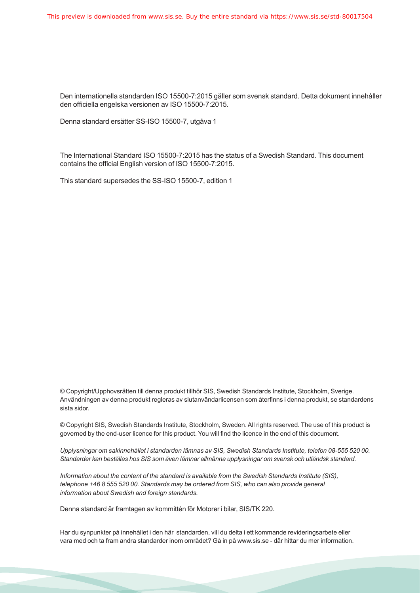Den internationella standarden ISO 15500-7:2015 gäller som svensk standard. Detta dokument innehåller den officiella engelska versionen av ISO 15500-7:2015.

Denna standard ersätter SS-ISO 15500-7, utgåva 1

The International Standard ISO 15500-7:2015 has the status of a Swedish Standard. This document contains the official English version of ISO 15500-7:2015.

This standard supersedes the SS-ISO 15500-7, edition 1

© Copyright/Upphovsrätten till denna produkt tillhör SIS, Swedish Standards Institute, Stockholm, Sverige. Användningen av denna produkt regleras av slutanvändarlicensen som återfinns i denna produkt, se standardens sista sidor.

© Copyright SIS, Swedish Standards Institute, Stockholm, Sweden. All rights reserved. The use of this product is governed by the end-user licence for this product. You will find the licence in the end of this document.

*Upplysningar om sakinnehållet i standarden lämnas av SIS, Swedish Standards Institute, telefon 08-555 520 00. Standarder kan beställas hos SIS som även lämnar allmänna upplysningar om svensk och utländsk standard.*

*Information about the content of the standard is available from the Swedish Standards Institute (SIS), telephone +46 8 555 520 00. Standards may be ordered from SIS, who can also provide general information about Swedish and foreign standards.*

Denna standard är framtagen av kommittén för Motorer i bilar, SIS/TK 220.

Har du synpunkter på innehållet i den här standarden, vill du delta i ett kommande revideringsarbete eller vara med och ta fram andra standarder inom området? Gå in på www.sis.se - där hittar du mer information.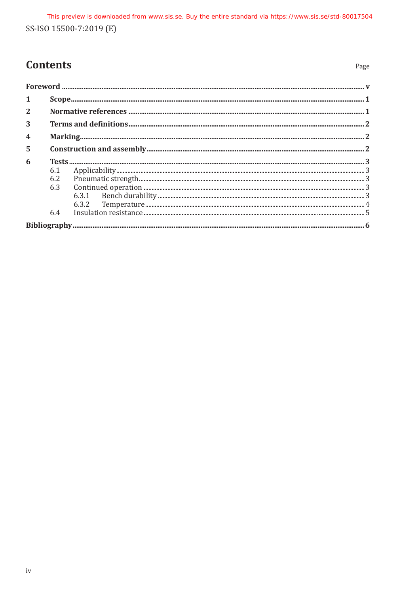## **Contents**

| 3 |                                                                      |  |  |
|---|----------------------------------------------------------------------|--|--|
|   | $\textbf{Marking}.\textcolor{red}{\textbf{max}}. \textcolor{red}{2}$ |  |  |
| 5 |                                                                      |  |  |
| 6 |                                                                      |  |  |
|   | 6.1                                                                  |  |  |
|   | 6.2                                                                  |  |  |
|   | 6.3                                                                  |  |  |
|   |                                                                      |  |  |
|   |                                                                      |  |  |
|   | 6.4                                                                  |  |  |
|   |                                                                      |  |  |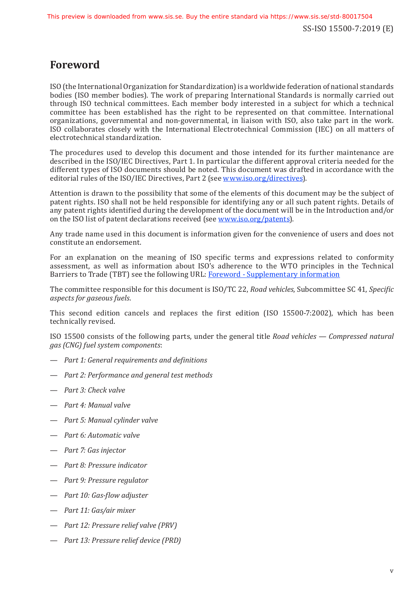## <span id="page-4-0"></span>**Foreword**

ISO (the International Organization for Standardization) is a worldwide federation of national standards bodies (ISO member bodies). The work of preparing International Standards is normally carried out through ISO technical committees. Each member body interested in a subject for which a technical committee has been established has the right to be represented on that committee. International organizations, governmental and non-governmental, in liaison with ISO, also take part in the work. ISO collaborates closely with the International Electrotechnical Commission (IEC) on all matters of electrotechnical standardization.

The procedures used to develop this document and those intended for its further maintenance are described in the ISO/IEC Directives, Part 1. In particular the different approval criteria needed for the different types of ISO documents should be noted. This document was drafted in accordance with the editorial rules of the ISO/IEC Directives, Part 2 (see [www.iso.org/directives\)](http://www.iso.org/directives).

Attention is drawn to the possibility that some of the elements of this document may be the subject of patent rights. ISO shall not be held responsible for identifying any or all such patent rights. Details of any patent rights identified during the development of the document will be in the Introduction and/or on the ISO list of patent declarations received (see [www.iso.org/patents](http://www.iso.org/patents)).

Any trade name used in this document is information given for the convenience of users and does not constitute an endorsement.

For an explanation on the meaning of ISO specific terms and expressions related to conformity assessment, as well as information about ISO's adherence to the WTO principles in the Technical Barriers to Trade (TBT) see the following URL: **Foreword - Supplementary information** 

The committee responsible for this document is ISO/TC 22, *Road vehicles*, Subcommittee SC 41, *Specific aspects for gaseous fuels*.

This second edition cancels and replaces the first edition (ISO 15500-7:2002), which has been technically revised.

ISO 15500 consists of the following parts, under the general title *Road vehicles — Compressed natural gas (CNG) fuel system components*:

- *Part 1: General requirements and definitions*
- *Part 2: Performance and general test methods*
- *Part 3: Check valve*
- *Part 4: Manual valve*
- *Part 5: Manual cylinder valve*
- *Part 6: Automatic valve*
- *Part 7: Gas injector*
- *Part 8: Pressure indicator*
- *Part 9: Pressure regulator*
- *Part 10: Gas-flow adjuster*
- *Part 11: Gas/air mixer*
- *Part 12: Pressure relief valve (PRV)*
- *Part 13: Pressure relief device (PRD)*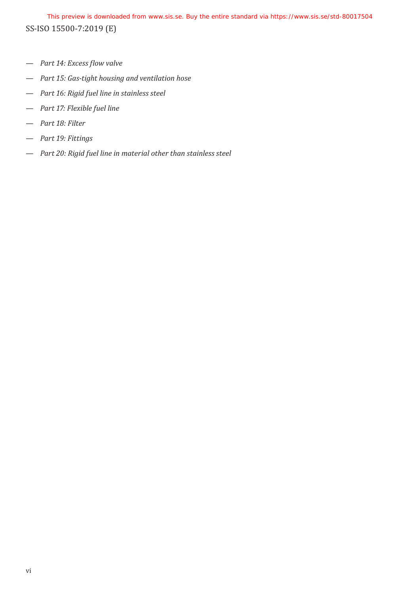SS-ISO 15500-7:2019 (E) This preview is downloaded from www.sis.se. Buy the entire standard via https://www.sis.se/std-80017504

- *Part 14: Excess flow valve*
- *Part 15: Gas-tight housing and ventilation hose*
- *Part 16: Rigid fuel line in stainless steel*
- *Part 17: Flexible fuel line*
- *Part 18: Filter*
- *Part 19: Fittings*
- *Part 20: Rigid fuel line in material other than stainless steel*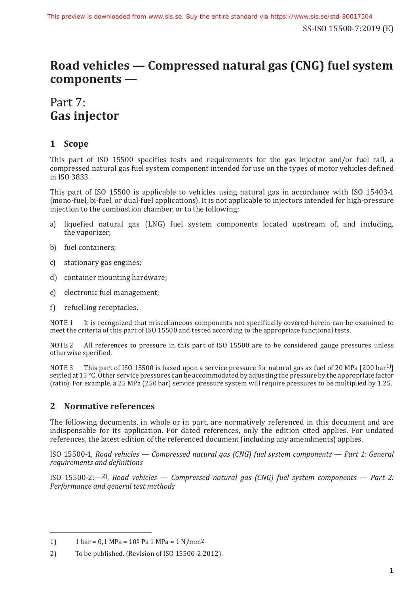## **Road vehicles — Compressed natural gas (CNG) fuel system components —**

## Part 7: **Gas injector**

## <span id="page-6-0"></span>**1 Scope**

This part of ISO 15500 specifies tests and requirements for the gas injector and/or fuel rail, a compressed natural gas fuel system component intended for use on the types of motor vehicles defined in ISO 3833.

This part of ISO 15500 is applicable to vehicles using natural gas in accordance with ISO 15403-1 (mono-fuel, bi-fuel, or dual-fuel applications). It is not applicable to injectors intended for high-pressure injection to the combustion chamber, or to the following:

- a) liquefied natural gas (LNG) fuel system components located upstream of, and including, the vaporizer;
- b) fuel containers;
- c) stationary gas engines;
- d) container mounting hardware;
- e) electronic fuel management;
- f) refuelling receptacles.

NOTE 1 It is recognized that miscellaneous components not specifically covered herein can be examined to meet the criteria of this part of ISO 15500 and tested according to the appropriate functional tests.

NOTE 2 All references to pressure in this part of ISO 15500 are to be considered gauge pressures unless otherwise specified.

NOTE 3 This part of ISO 15500 is based upon a service pressure for natural gas as fuel of 20 MPa [200 bar1)] settled at 15 °C. Other service pressures can be accommodated by adjusting the pressure by the appropriate factor (ratio). For example, a 25 MPa (250 bar) service pressure system will require pressures to be multiplied by 1,25.

### <span id="page-6-1"></span>**2 Normative references**

The following documents, in whole or in part, are normatively referenced in this document and are indispensable for its application. For dated references, only the edition cited applies. For undated references, the latest edition of the referenced document (including any amendments) applies.

ISO 15500-1, *Road vehicles — Compressed natural gas (CNG) fuel system components — Part 1: General requirements and definitions*

ISO 15500-2:—2), *Road vehicles — Compressed natural gas (CNG) fuel system components — Part 2: Performance and general test methods*

<sup>1) 1</sup> bar =  $0.1$  MPa =  $10^5$  Pa 1 MPa =  $1$  N/mm<sup>2</sup>

<sup>2)</sup> To be published. (Revision of ISO 15500-2:2012).